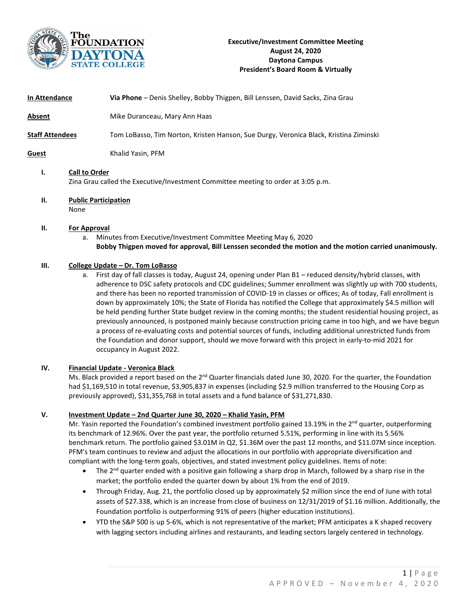

| In Attendance                                                                                                   | Via Phone - Denis Shelley, Bobby Thigpen, Bill Lenssen, David Sacks, Zina Grau        |
|-----------------------------------------------------------------------------------------------------------------|---------------------------------------------------------------------------------------|
| Absent                                                                                                          | Mike Duranceau, Mary Ann Haas                                                         |
| Staf <u>f Attendees</u>                                                                                         | Tom LoBasso, Tim Norton, Kristen Hanson, Sue Durgy, Veronica Black, Kristina Ziminski |
| Guest                                                                                                           | Khalid Yasin, PFM                                                                     |
| <b>Call to Order</b><br>Ι.<br>Zina Grau called the Executive/Investment Committee meeting to order at 3:05 p.m. |                                                                                       |

# **II. Public Participation**

None

## **II. For Approval**

a. Minutes from Executive/Investment Committee Meeting May 6, 2020 **Bobby Thigpen moved for approval, Bill Lenssen seconded the motion and the motion carried unanimously.**

# **III. College Update – Dr. Tom LoBasso**

a. First day of fall classes is today, August 24, opening under Plan B1 – reduced density/hybrid classes, with adherence to DSC safety protocols and CDC guidelines; Summer enrollment was slightly up with 700 students, and there has been no reported transmission of COVID-19 in classes or offices; As of today, Fall enrollment is down by approximately 10%; the State of Florida has notified the College that approximately \$4.5 million will be held pending further State budget review in the coming months; the student residential housing project, as previously announced, is postponed mainly because construction pricing came in too high, and we have begun a process of re-evaluating costs and potential sources of funds, including additional unrestricted funds from the Foundation and donor support, should we move forward with this project in early-to-mid 2021 for occupancy in August 2022.

#### **IV. Financial Update - Veronica Black**

Ms. Black provided a report based on the  $2^{nd}$  Quarter financials dated June 30, 2020. For the quarter, the Foundation had \$1,169,510 in total revenue, \$3,905,837 in expenses (including \$2.9 million transferred to the Housing Corp as previously approved), \$31,355,768 in total assets and a fund balance of \$31,271,830.

# **V. Investment Update – 2nd Quarter June 30, 2020 – Khalid Yasin, PFM**

Mr. Yasin reported the Foundation's combined investment portfolio gained 13.19% in the  $2^{nd}$  quarter, outperforming its benchmark of 12.96%. Over the past year, the portfolio returned 5.51%, performing in line with its 5.56% benchmark return. The portfolio gained \$3.01M in Q2, \$1.36M over the past 12 months, and \$11.07M since inception. PFM's team continues to review and adjust the allocations in our portfolio with appropriate diversification and compliant with the long-term goals, objectives, and stated investment policy guidelines. Items of note:

- The 2<sup>nd</sup> quarter ended with a positive gain following a sharp drop in March, followed by a sharp rise in the market; the portfolio ended the quarter down by about 1% from the end of 2019.
- Through Friday, Aug. 21, the portfolio closed up by approximately \$2 million since the end of June with total assets of \$27.338, which is an increase from close of business on 12/31/2019 of \$1.16 million. Additionally, the Foundation portfolio is outperforming 91% of peers (higher education institutions).
- YTD the S&P 500 is up 5-6%, which is not representative of the market; PFM anticipates a K shaped recovery with lagging sectors including airlines and restaurants, and leading sectors largely centered in technology.